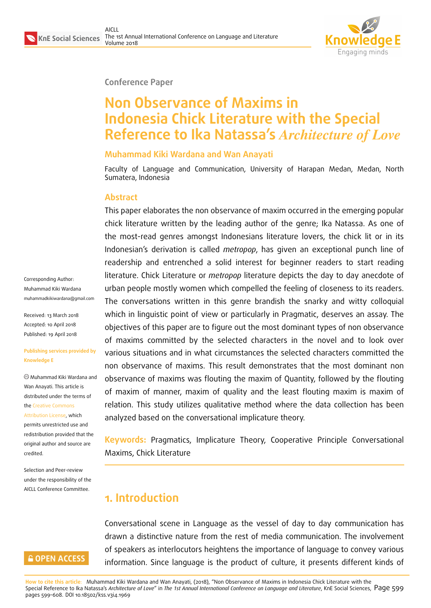

#### **Conference Paper**

# **Non Observance of Maxims in Indonesia Chick Literature with the Special Reference to Ika Natassa's** *Architecture of Love*

#### **Muhammad Kiki Wardana and Wan Anayati**

Faculty of Language and Communication, University of Harapan Medan, Medan, North Sumatera, Indonesia

#### **Abstract**

This paper elaborates the non observance of maxim occurred in the emerging popular chick literature written by the leading author of the genre; Ika Natassa. As one of the most-read genres amongst Indonesians literature lovers, the chick lit or in its Indonesian's derivation is called *metropop*, has given an exceptional punch line of readership and entrenched a solid interest for beginner readers to start reading literature. Chick Literature or *metropop* literature depicts the day to day anecdote of urban people mostly women which compelled the feeling of closeness to its readers. The conversations written in this genre brandish the snarky and witty colloquial which in linguistic point of view or particularly in Pragmatic, deserves an assay. The objectives of this paper are to figure out the most dominant types of non observance of maxims committed by the selected characters in the novel and to look over various situations and in what circumstances the selected characters committed the non observance of maxims. This result demonstrates that the most dominant non observance of maxims was flouting the maxim of Quantity, followed by the flouting of maxim of manner, maxim of quality and the least flouting maxim is maxim of relation. This study utilizes qualitative method where the data collection has been analyzed based on the conversational implicature theory.

**Keywords:** Pragmatics, Implicature Theory, Cooperative Principle Conversational Maxims, Chick Literature

## **1. Introduction**

Conversational scene in Language as the vessel of day to day communication has drawn a distinctive nature from the rest of media communication. The involvement of speakers as interlocutors heightens the importance of language to convey various information. Since language is the product of culture, it presents different kinds of

Corresponding Author: Muhammad Kiki Wardana muhammadkikiwardana@gmail.com

Received: 13 March 2018 Accepted: 10 April 2018 [Published: 19 April 2018](mailto:muhammadkikiwardana@gmail.com)

#### **Publishing services provided by Knowledge E**

Muhammad Kiki Wardana and Wan Anayati. This article is distributed under the terms of the Creative Commons

Attribution License, which permits unrestricted use and redistribution provided that the ori[ginal author and sou](https://creativecommons.org/licenses/by/4.0/)rce are [credited.](https://creativecommons.org/licenses/by/4.0/)

Selection and Peer-review under the responsibility of the AICLL Conference Committee.

#### **GOPEN ACCESS**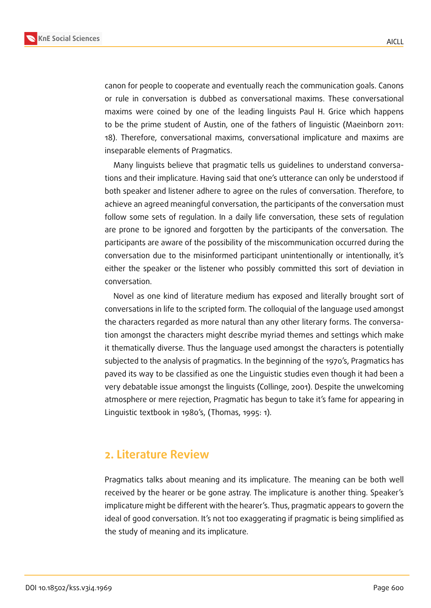



canon for people to cooperate and eventually reach the communication goals. Canons or rule in conversation is dubbed as conversational maxims. These conversational maxims were coined by one of the leading linguists Paul H. Grice which happens to be the prime student of Austin, one of the fathers of linguistic (Maeinborn 2011: 18). Therefore, conversational maxims, conversational implicature and maxims are inseparable elements of Pragmatics.

Many linguists believe that pragmatic tells us guidelines to understand conversations and their implicature. Having said that one's utterance can only be understood if both speaker and listener adhere to agree on the rules of conversation. Therefore, to achieve an agreed meaningful conversation, the participants of the conversation must follow some sets of regulation. In a daily life conversation, these sets of regulation are prone to be ignored and forgotten by the participants of the conversation. The participants are aware of the possibility of the miscommunication occurred during the conversation due to the misinformed participant unintentionally or intentionally, it's either the speaker or the listener who possibly committed this sort of deviation in conversation.

Novel as one kind of literature medium has exposed and literally brought sort of conversations in life to the scripted form. The colloquial of the language used amongst the characters regarded as more natural than any other literary forms. The conversation amongst the characters might describe myriad themes and settings which make it thematically diverse. Thus the language used amongst the characters is potentially subjected to the analysis of pragmatics. In the beginning of the 1970's, Pragmatics has paved its way to be classified as one the Linguistic studies even though it had been a very debatable issue amongst the linguists (Collinge, 2001). Despite the unwelcoming atmosphere or mere rejection, Pragmatic has begun to take it's fame for appearing in Linguistic textbook in 1980's, (Thomas, 1995: 1).

### **2. Literature Review**

Pragmatics talks about meaning and its implicature. The meaning can be both well received by the hearer or be gone astray. The implicature is another thing. Speaker's implicature might be different with the hearer's. Thus, pragmatic appears to govern the ideal of good conversation. It's not too exaggerating if pragmatic is being simplified as the study of meaning and its implicature.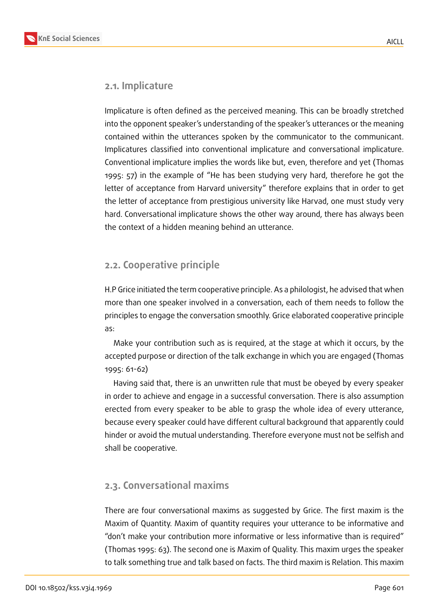

#### **2.1. Implicature**

Implicature is often defined as the perceived meaning. This can be broadly stretched into the opponent speaker's understanding of the speaker's utterances or the meaning contained within the utterances spoken by the communicator to the communicant. Implicatures classified into conventional implicature and conversational implicature. Conventional implicature implies the words like but, even, therefore and yet (Thomas 1995: 57) in the example of "He has been studying very hard, therefore he got the letter of acceptance from Harvard university" therefore explains that in order to get the letter of acceptance from prestigious university like Harvad, one must study very hard. Conversational implicature shows the other way around, there has always been the context of a hidden meaning behind an utterance.

### **2.2. Cooperative principle**

H.P Grice initiated the term cooperative principle. As a philologist, he advised that when more than one speaker involved in a conversation, each of them needs to follow the principles to engage the conversation smoothly. Grice elaborated cooperative principle as:

Make your contribution such as is required, at the stage at which it occurs, by the accepted purpose or direction of the talk exchange in which you are engaged (Thomas 1995: 61-62)

Having said that, there is an unwritten rule that must be obeyed by every speaker in order to achieve and engage in a successful conversation. There is also assumption erected from every speaker to be able to grasp the whole idea of every utterance, because every speaker could have different cultural background that apparently could hinder or avoid the mutual understanding. Therefore everyone must not be selfish and shall be cooperative.

### **2.3. Conversational maxims**

There are four conversational maxims as suggested by Grice. The first maxim is the Maxim of Quantity. Maxim of quantity requires your utterance to be informative and "don't make your contribution more informative or less informative than is required" (Thomas 1995: 63). The second one is Maxim of Quality. This maxim urges the speaker to talk something true and talk based on facts. The third maxim is Relation. This maxim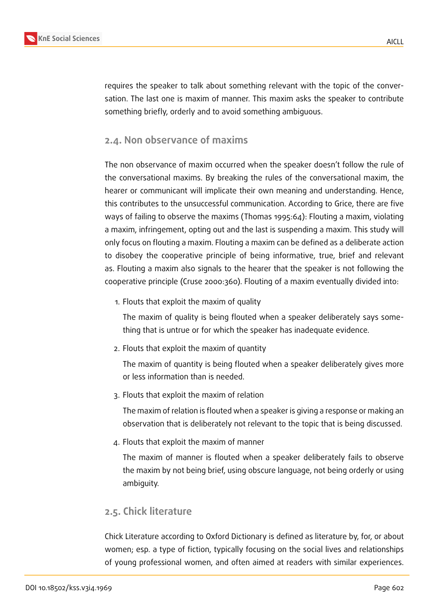

requires the speaker to talk about something relevant with the topic of the conversation. The last one is maxim of manner. This maxim asks the speaker to contribute something briefly, orderly and to avoid something ambiguous.

### **2.4. Non observance of maxims**

The non observance of maxim occurred when the speaker doesn't follow the rule of the conversational maxims. By breaking the rules of the conversational maxim, the hearer or communicant will implicate their own meaning and understanding. Hence, this contributes to the unsuccessful communication. According to Grice, there are five ways of failing to observe the maxims (Thomas 1995:64): Flouting a maxim, violating a maxim, infringement, opting out and the last is suspending a maxim. This study will only focus on flouting a maxim. Flouting a maxim can be defined as a deliberate action to disobey the cooperative principle of being informative, true, brief and relevant as. Flouting a maxim also signals to the hearer that the speaker is not following the cooperative principle (Cruse 2000:360). Flouting of a maxim eventually divided into:

1. Flouts that exploit the maxim of quality

The maxim of quality is being flouted when a speaker deliberately says something that is untrue or for which the speaker has inadequate evidence.

2. Flouts that exploit the maxim of quantity

The maxim of quantity is being flouted when a speaker deliberately gives more or less information than is needed.

3. Flouts that exploit the maxim of relation

The maxim of relation is flouted when a speaker is giving a response or making an observation that is deliberately not relevant to the topic that is being discussed.

4. Flouts that exploit the maxim of manner

The maxim of manner is flouted when a speaker deliberately fails to observe the maxim by not being brief, using obscure language, not being orderly or using ambiguity.

#### **2.5. Chick literature**

Chick Literature according to Oxford Dictionary is defined as literature by, for, or about women; esp. a type of fiction, typically focusing on the social lives and relationships of young professional women, and often aimed at readers with similar experiences.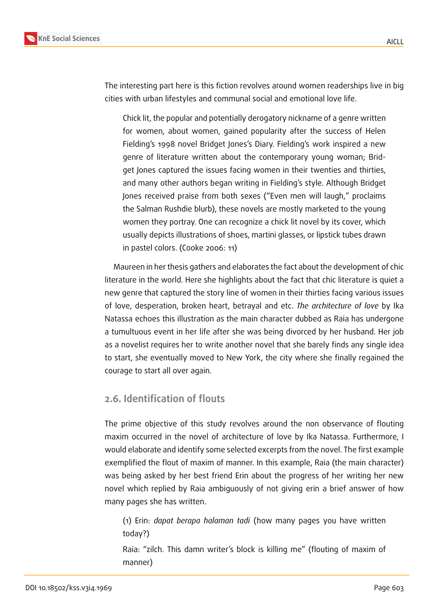

The interesting part here is this fiction revolves around women readerships live in big cities with urban lifestyles and communal social and emotional love life.

Chick lit, the popular and potentially derogatory nickname of a genre written for women, about women, gained popularity after the success of Helen Fielding's 1998 novel Bridget Jones's Diary. Fielding's work inspired a new genre of literature written about the contemporary young woman; Bridget Jones captured the issues facing women in their twenties and thirties, and many other authors began writing in Fielding's style. Although Bridget Jones received praise from both sexes ("Even men will laugh," proclaims the Salman Rushdie blurb), these novels are mostly marketed to the young women they portray. One can recognize a chick lit novel by its cover, which usually depicts illustrations of shoes, martini glasses, or lipstick tubes drawn in pastel colors. (Cooke 2006: 11)

Maureen in her thesis gathers and elaborates the fact about the development of chic literature in the world. Here she highlights about the fact that chic literature is quiet a new genre that captured the story line of women in their thirties facing various issues of love, desperation, broken heart, betrayal and etc. *The architecture of love* by Ika Natassa echoes this illustration as the main character dubbed as Raia has undergone a tumultuous event in her life after she was being divorced by her husband. Her job as a novelist requires her to write another novel that she barely finds any single idea to start, she eventually moved to New York, the city where she finally regained the courage to start all over again.

### **2.6. Identification of flouts**

The prime objective of this study revolves around the non observance of flouting maxim occurred in the novel of architecture of love by Ika Natassa. Furthermore, I would elaborate and identify some selected excerpts from the novel. The first example exemplified the flout of maxim of manner. In this example, Raia (the main character) was being asked by her best friend Erin about the progress of her writing her new novel which replied by Raia ambiguously of not giving erin a brief answer of how many pages she has written.

(1) Erin: *dapat berapa halaman tadi* (how many pages you have written today?)

Raia: "zilch. This damn writer's block is killing me" (flouting of maxim of manner)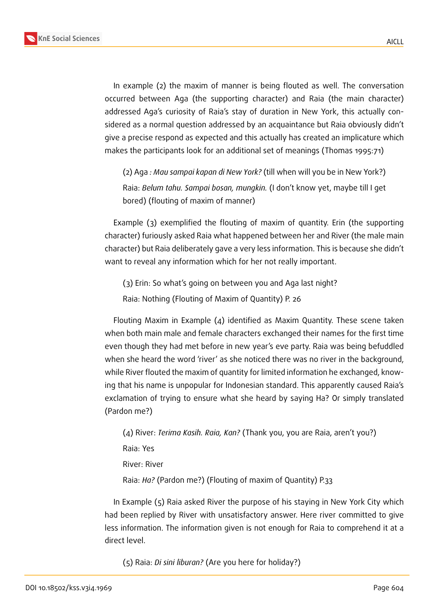

In example (2) the maxim of manner is being flouted as well. The conversation occurred between Aga (the supporting character) and Raia (the main character) addressed Aga's curiosity of Raia's stay of duration in New York, this actually considered as a normal question addressed by an acquaintance but Raia obviously didn't give a precise respond as expected and this actually has created an implicature which makes the participants look for an additional set of meanings (Thomas 1995:71)

(2) Aga *: Mau sampai kapan di New York?* (till when will you be in New York?) Raia: *Belum tahu. Sampai bosan, mungkin.* (I don't know yet, maybe till I get bored) (flouting of maxim of manner)

Example (3) exemplified the flouting of maxim of quantity. Erin (the supporting character) furiously asked Raia what happened between her and River (the male main character) but Raia deliberately gave a very less information. This is because she didn't want to reveal any information which for her not really important.

(3) Erin: So what's going on between you and Aga last night? Raia: Nothing (Flouting of Maxim of Quantity) P. 26

Flouting Maxim in Example  $(4)$  identified as Maxim Quantity. These scene taken when both main male and female characters exchanged their names for the first time even though they had met before in new year's eve party. Raia was being befuddled when she heard the word 'river' as she noticed there was no river in the background, while River flouted the maxim of quantity for limited information he exchanged, knowing that his name is unpopular for Indonesian standard. This apparently caused Raia's exclamation of trying to ensure what she heard by saying Ha? Or simply translated (Pardon me?)

(4) River: *Terima Kasih. Raia, Kan?* (Thank you, you are Raia, aren't you?) Raia: Yes River: River Raia: *Ha?* (Pardon me?) (Flouting of maxim of Quantity) P.33

In Example (5) Raia asked River the purpose of his staying in New York City which had been replied by River with unsatisfactory answer. Here river committed to give less information. The information given is not enough for Raia to comprehend it at a direct level.

(5) Raia: *Di sini liburan?* (Are you here for holiday?)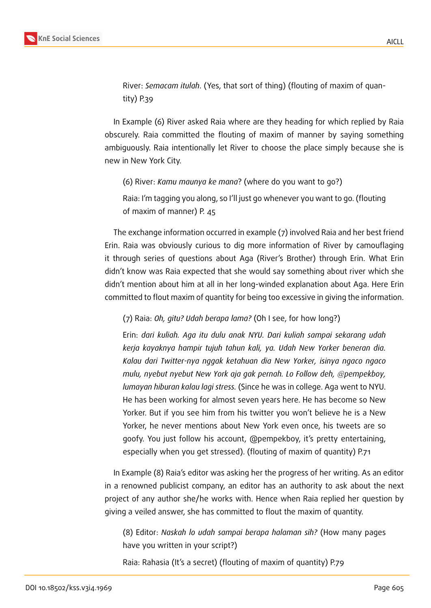

River: *Semacam itulah*. (Yes, that sort of thing) (flouting of maxim of quantity) P.39

In Example (6) River asked Raia where are they heading for which replied by Raia obscurely. Raia committed the flouting of maxim of manner by saying something ambiguously. Raia intentionally let River to choose the place simply because she is new in New York City.

(6) River: *Kamu maunya ke mana*? (where do you want to go?)

Raia: I'm tagging you along, so I'll just go whenever you want to go. (flouting of maxim of manner) P. 45

The exchange information occurred in example (7) involved Raia and her best friend Erin. Raia was obviously curious to dig more information of River by camouflaging it through series of questions about Aga (River's Brother) through Erin. What Erin didn't know was Raia expected that she would say something about river which she didn't mention about him at all in her long-winded explanation about Aga. Here Erin committed to flout maxim of quantity for being too excessive in giving the information.

(7) Raia: *Oh, gitu? Udah berapa lama?* (Oh I see, for how long?)

Erin: *dari kuliah. Aga itu dulu anak NYU. Dari kuliah sampai sekarang udah kerja kayaknya hampir tujuh tahun kali, ya. Udah New Yorker beneran dia. Kalau dari Twitter-nya nggak ketahuan dia New Yorker, isinya ngaco ngaco mulu, nyebut nyebut New York aja gak pernah. Lo Follow deh, @pempekboy, lumayan hiburan kalau lagi stress.* (Since he was in college. Aga went to NYU. He has been working for almost seven years here. He has become so New Yorker. But if you see him from his twitter you won't believe he is a New Yorker, he never mentions about New York even once, his tweets are so goofy. You just follow his account, @pempekboy, it's pretty entertaining, especially when you get stressed). (flouting of maxim of quantity) P.71

In Example (8) Raia's editor was asking her the progress of her writing. As an editor in a renowned publicist company, an editor has an authority to ask about the next project of any author she/he works with. Hence when Raia replied her question by giving a veiled answer, she has committed to flout the maxim of quantity.

(8) Editor: *Naskah lo udah sampai berapa halaman sih?* (How many pages have you written in your script?)

Raia: Rahasia (It's a secret) (flouting of maxim of quantity) P.79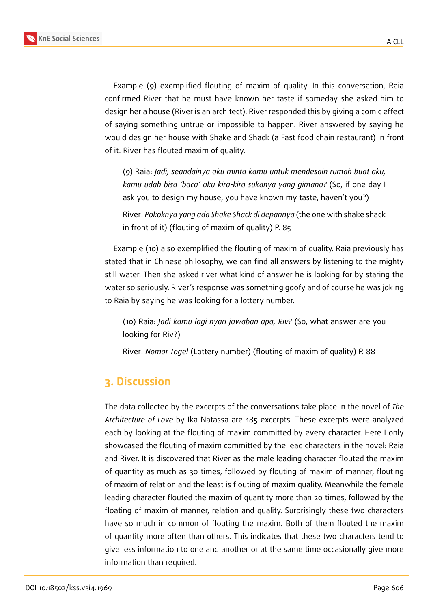

Example (9) exemplified flouting of maxim of quality. In this conversation, Raia confirmed River that he must have known her taste if someday she asked him to design her a house (River is an architect). River responded this by giving a comic effect of saying something untrue or impossible to happen. River answered by saying he would design her house with Shake and Shack (a Fast food chain restaurant) in front of it. River has flouted maxim of quality.

(9) Raia: *Jadi, seandainya aku minta kamu untuk mendesain rumah buat aku, kamu udah bisa 'baca' aku kira-kira sukanya yang gimana?* (So, if one day I ask you to design my house, you have known my taste, haven't you?)

River: *Pokoknya yang ada Shake Shack di depannya* (the one with shake shack in front of it) (flouting of maxim of quality) P. 85

Example (10) also exemplified the flouting of maxim of quality. Raia previously has stated that in Chinese philosophy, we can find all answers by listening to the mighty still water. Then she asked river what kind of answer he is looking for by staring the water so seriously. River's response was something goofy and of course he was joking to Raia by saying he was looking for a lottery number.

(10) Raia: *Jadi kamu lagi nyari jawaban apa, Riv?* (So, what answer are you looking for Riv?)

River: *Nomor Togel* (Lottery number) (flouting of maxim of quality) P. 88

## **3. Discussion**

The data collected by the excerpts of the conversations take place in the novel of *The Architecture of Love* by Ika Natassa are 185 excerpts. These excerpts were analyzed each by looking at the flouting of maxim committed by every character. Here I only showcased the flouting of maxim committed by the lead characters in the novel: Raia and River. It is discovered that River as the male leading character flouted the maxim of quantity as much as 30 times, followed by flouting of maxim of manner, flouting of maxim of relation and the least is flouting of maxim quality. Meanwhile the female leading character flouted the maxim of quantity more than 20 times, followed by the floating of maxim of manner, relation and quality. Surprisingly these two characters have so much in common of flouting the maxim. Both of them flouted the maxim of quantity more often than others. This indicates that these two characters tend to give less information to one and another or at the same time occasionally give more information than required.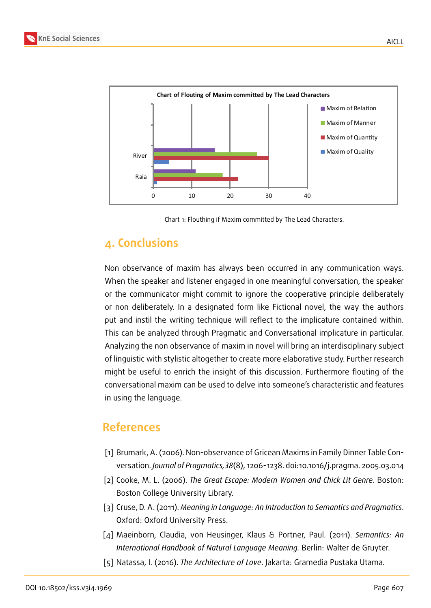

Chart 1: Flouthing if Maxim committed by The Lead Characters.

## **4. Conclusions**

Non observance of maxim has always been occurred in any communication ways. When the speaker and listener engaged in one meaningful conversation, the speaker or the communicator might commit to ignore the cooperative principle deliberately or non deliberately. In a designated form like Fictional novel, the way the authors put and instil the writing technique will reflect to the implicature contained within. This can be analyzed through Pragmatic and Conversational implicature in particular. Analyzing the non observance of maxim in novel will bring an interdisciplinary subject of linguistic with stylistic altogether to create more elaborative study. Further research might be useful to enrich the insight of this discussion. Furthermore flouting of the conversational maxim can be used to delve into someone's characteristic and features in using the language.

## **References**

- [1] Brumark, A. (2006). Non-observance of Gricean Maxims in Family Dinner Table Conversation. *Journal of Pragmatics,38*(8), 1206-1238. doi:10.1016/j.pragma. 2005.03.014
- [2] Cooke, M. L. (2006). *The Great Escape: Modern Women and Chick Lit Genre.* Boston: Boston College University Library.
- [3] Cruse, D. A. (2011). *Meaning in Language: An Introduction to Semantics and Pragmatics*. Oxford: Oxford University Press.
- [4] Maeinborn, Claudia, von Heusinger, Klaus & Portner, Paul. (2011). *Semantics: An International Handbook of Natural Language Meaning.* Berlin: Walter de Gruyter.
- [5] Natassa, I. (2016). *The Architecture of Love*. Jakarta: Gramedia Pustaka Utama.